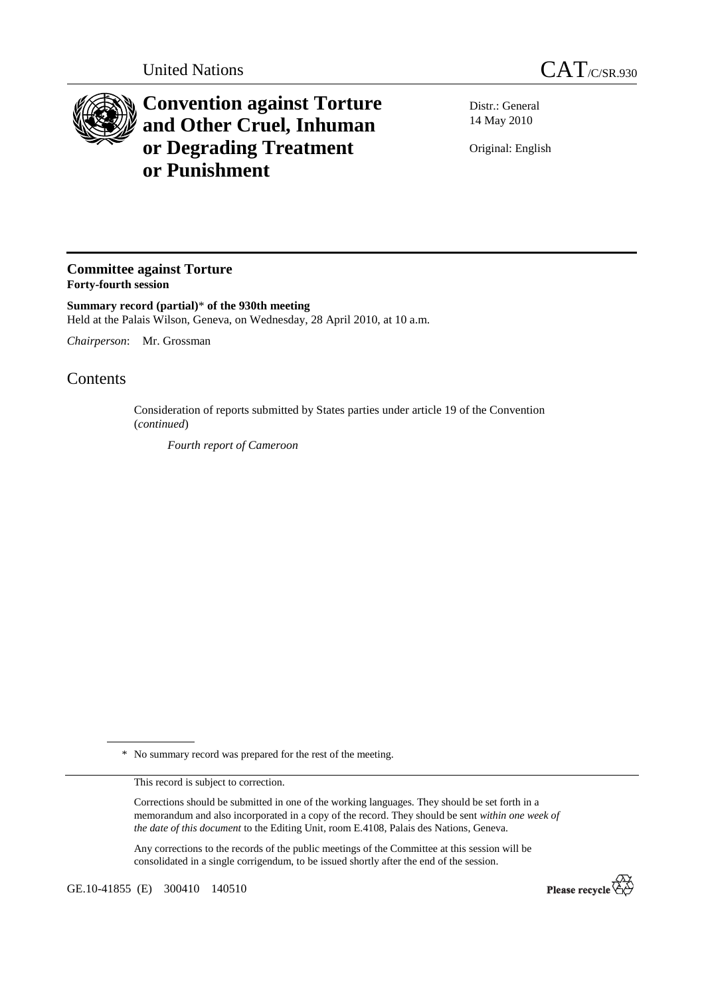

## **Convention against Torture and Other Cruel, Inhuman or Degrading Treatment or Punishment**

Distr.: General 14 May 2010

Original: English

## **Committee against Torture Forty-fourth session**

**Summary record (partial)**\* **of the 930th meeting**  Held at the Palais Wilson, Geneva, on Wednesday, 28 April 2010, at 10 a.m.

*Chairperson*: Mr. Grossman

## **Contents**

Consideration of reports submitted by States parties under article 19 of the Convention (*continued*)

 *Fourth report of Cameroon* 

\* No summary record was prepared for the rest of the meeting.

This record is subject to correction.

Corrections should be submitted in one of the working languages. They should be set forth in a memorandum and also incorporated in a copy of the record. They should be sent *within one week of the date of this document* to the Editing Unit, room E.4108, Palais des Nations, Geneva.

Any corrections to the records of the public meetings of the Committee at this session will be consolidated in a single corrigendum, to be issued shortly after the end of the session.

GE.10-41855 (E) 300410 140510

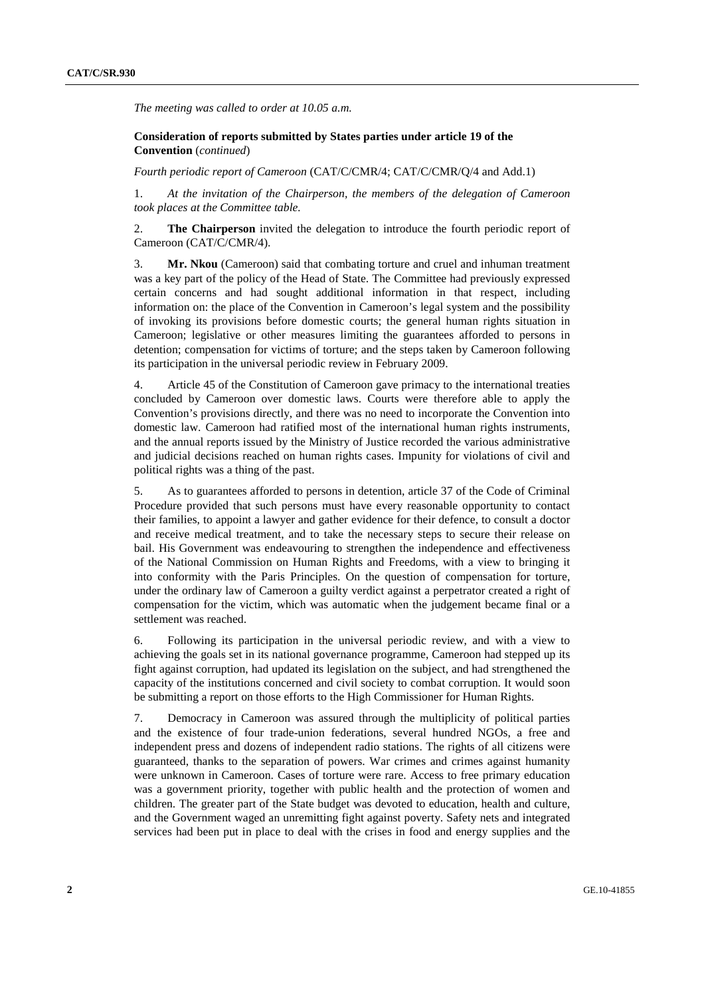*The meeting was called to order at 10.05 a.m.* 

## **Consideration of reports submitted by States parties under article 19 of the Convention** (*continued*)

*Fourth periodic report of Cameroon* (CAT/C/CMR/4; CAT/C/CMR/Q/4 and Add.1)

1. *At the invitation of the Chairperson, the members of the delegation of Cameroon took places at the Committee table.* 

2. **The Chairperson** invited the delegation to introduce the fourth periodic report of Cameroon (CAT/C/CMR/4).

3. **Mr. Nkou** (Cameroon) said that combating torture and cruel and inhuman treatment was a key part of the policy of the Head of State. The Committee had previously expressed certain concerns and had sought additional information in that respect, including information on: the place of the Convention in Cameroon's legal system and the possibility of invoking its provisions before domestic courts; the general human rights situation in Cameroon; legislative or other measures limiting the guarantees afforded to persons in detention; compensation for victims of torture; and the steps taken by Cameroon following its participation in the universal periodic review in February 2009.

4. Article 45 of the Constitution of Cameroon gave primacy to the international treaties concluded by Cameroon over domestic laws. Courts were therefore able to apply the Convention's provisions directly, and there was no need to incorporate the Convention into domestic law. Cameroon had ratified most of the international human rights instruments, and the annual reports issued by the Ministry of Justice recorded the various administrative and judicial decisions reached on human rights cases. Impunity for violations of civil and political rights was a thing of the past.

5. As to guarantees afforded to persons in detention, article 37 of the Code of Criminal Procedure provided that such persons must have every reasonable opportunity to contact their families, to appoint a lawyer and gather evidence for their defence, to consult a doctor and receive medical treatment, and to take the necessary steps to secure their release on bail. His Government was endeavouring to strengthen the independence and effectiveness of the National Commission on Human Rights and Freedoms, with a view to bringing it into conformity with the Paris Principles. On the question of compensation for torture, under the ordinary law of Cameroon a guilty verdict against a perpetrator created a right of compensation for the victim, which was automatic when the judgement became final or a settlement was reached.

6. Following its participation in the universal periodic review, and with a view to achieving the goals set in its national governance programme, Cameroon had stepped up its fight against corruption, had updated its legislation on the subject, and had strengthened the capacity of the institutions concerned and civil society to combat corruption. It would soon be submitting a report on those efforts to the High Commissioner for Human Rights.

7. Democracy in Cameroon was assured through the multiplicity of political parties and the existence of four trade-union federations, several hundred NGOs, a free and independent press and dozens of independent radio stations. The rights of all citizens were guaranteed, thanks to the separation of powers. War crimes and crimes against humanity were unknown in Cameroon. Cases of torture were rare. Access to free primary education was a government priority, together with public health and the protection of women and children. The greater part of the State budget was devoted to education, health and culture, and the Government waged an unremitting fight against poverty. Safety nets and integrated services had been put in place to deal with the crises in food and energy supplies and the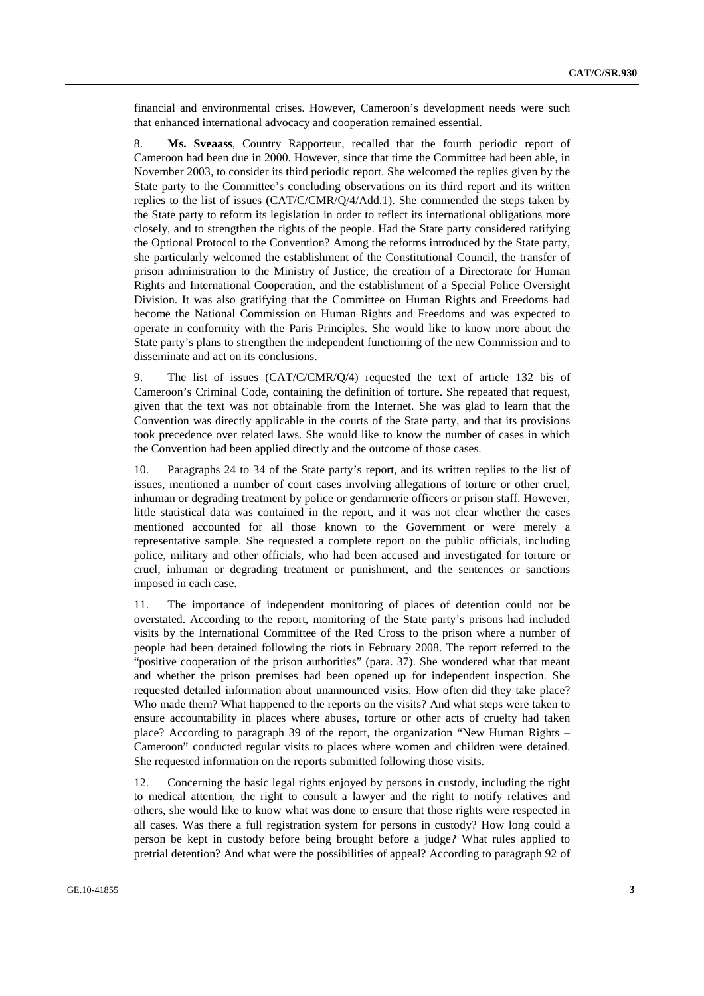financial and environmental crises. However, Cameroon's development needs were such that enhanced international advocacy and cooperation remained essential.

8. **Ms. Sveaass**, Country Rapporteur, recalled that the fourth periodic report of Cameroon had been due in 2000. However, since that time the Committee had been able, in November 2003, to consider its third periodic report. She welcomed the replies given by the State party to the Committee's concluding observations on its third report and its written replies to the list of issues (CAT/C/CMR/Q/4/Add.1). She commended the steps taken by the State party to reform its legislation in order to reflect its international obligations more closely, and to strengthen the rights of the people. Had the State party considered ratifying the Optional Protocol to the Convention? Among the reforms introduced by the State party, she particularly welcomed the establishment of the Constitutional Council, the transfer of prison administration to the Ministry of Justice, the creation of a Directorate for Human Rights and International Cooperation, and the establishment of a Special Police Oversight Division. It was also gratifying that the Committee on Human Rights and Freedoms had become the National Commission on Human Rights and Freedoms and was expected to operate in conformity with the Paris Principles. She would like to know more about the State party's plans to strengthen the independent functioning of the new Commission and to disseminate and act on its conclusions.

9. The list of issues (CAT/C/CMR/Q/4) requested the text of article 132 bis of Cameroon's Criminal Code, containing the definition of torture. She repeated that request, given that the text was not obtainable from the Internet. She was glad to learn that the Convention was directly applicable in the courts of the State party, and that its provisions took precedence over related laws. She would like to know the number of cases in which the Convention had been applied directly and the outcome of those cases.

10. Paragraphs 24 to 34 of the State party's report, and its written replies to the list of issues, mentioned a number of court cases involving allegations of torture or other cruel, inhuman or degrading treatment by police or gendarmerie officers or prison staff. However, little statistical data was contained in the report, and it was not clear whether the cases mentioned accounted for all those known to the Government or were merely a representative sample. She requested a complete report on the public officials, including police, military and other officials, who had been accused and investigated for torture or cruel, inhuman or degrading treatment or punishment, and the sentences or sanctions imposed in each case.

11. The importance of independent monitoring of places of detention could not be overstated. According to the report, monitoring of the State party's prisons had included visits by the International Committee of the Red Cross to the prison where a number of people had been detained following the riots in February 2008. The report referred to the "positive cooperation of the prison authorities" (para. 37). She wondered what that meant and whether the prison premises had been opened up for independent inspection. She requested detailed information about unannounced visits. How often did they take place? Who made them? What happened to the reports on the visits? And what steps were taken to ensure accountability in places where abuses, torture or other acts of cruelty had taken place? According to paragraph 39 of the report, the organization "New Human Rights – Cameroon" conducted regular visits to places where women and children were detained. She requested information on the reports submitted following those visits.

12. Concerning the basic legal rights enjoyed by persons in custody, including the right to medical attention, the right to consult a lawyer and the right to notify relatives and others, she would like to know what was done to ensure that those rights were respected in all cases. Was there a full registration system for persons in custody? How long could a person be kept in custody before being brought before a judge? What rules applied to pretrial detention? And what were the possibilities of appeal? According to paragraph 92 of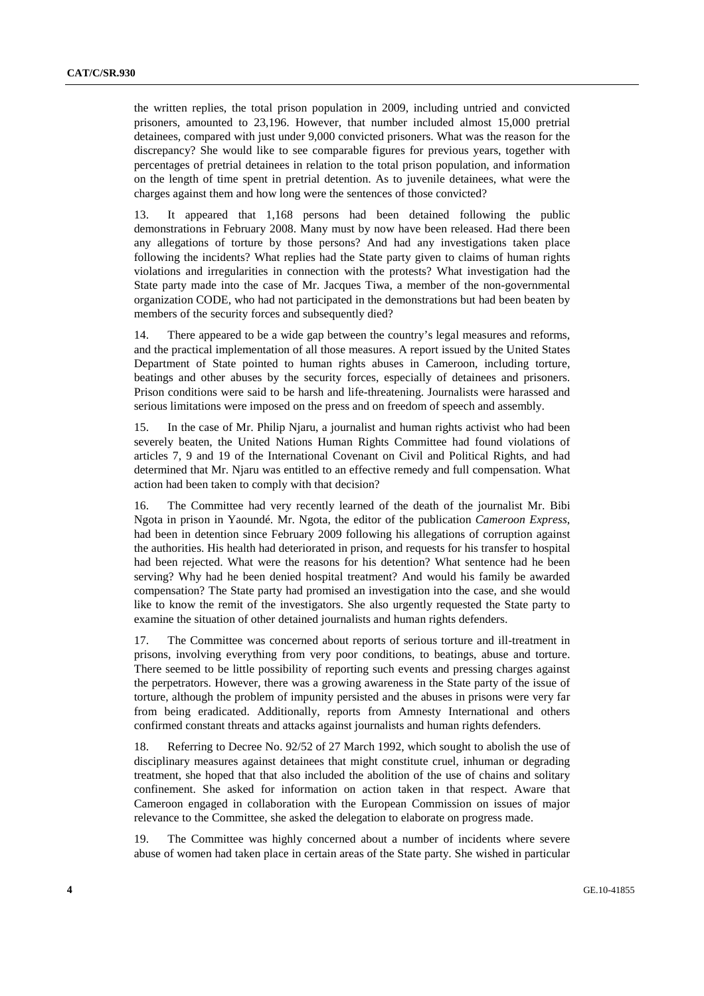the written replies, the total prison population in 2009, including untried and convicted prisoners, amounted to 23,196. However, that number included almost 15,000 pretrial detainees, compared with just under 9,000 convicted prisoners. What was the reason for the discrepancy? She would like to see comparable figures for previous years, together with percentages of pretrial detainees in relation to the total prison population, and information on the length of time spent in pretrial detention. As to juvenile detainees, what were the charges against them and how long were the sentences of those convicted?

13. It appeared that 1,168 persons had been detained following the public demonstrations in February 2008. Many must by now have been released. Had there been any allegations of torture by those persons? And had any investigations taken place following the incidents? What replies had the State party given to claims of human rights violations and irregularities in connection with the protests? What investigation had the State party made into the case of Mr. Jacques Tiwa, a member of the non-governmental organization CODE, who had not participated in the demonstrations but had been beaten by members of the security forces and subsequently died?

14. There appeared to be a wide gap between the country's legal measures and reforms, and the practical implementation of all those measures. A report issued by the United States Department of State pointed to human rights abuses in Cameroon, including torture, beatings and other abuses by the security forces, especially of detainees and prisoners. Prison conditions were said to be harsh and life-threatening. Journalists were harassed and serious limitations were imposed on the press and on freedom of speech and assembly.

15. In the case of Mr. Philip Njaru, a journalist and human rights activist who had been severely beaten, the United Nations Human Rights Committee had found violations of articles 7, 9 and 19 of the International Covenant on Civil and Political Rights, and had determined that Mr. Njaru was entitled to an effective remedy and full compensation. What action had been taken to comply with that decision?

16. The Committee had very recently learned of the death of the journalist Mr. Bibi Ngota in prison in Yaoundé. Mr. Ngota, the editor of the publication *Cameroon Express*, had been in detention since February 2009 following his allegations of corruption against the authorities. His health had deteriorated in prison, and requests for his transfer to hospital had been rejected. What were the reasons for his detention? What sentence had he been serving? Why had he been denied hospital treatment? And would his family be awarded compensation? The State party had promised an investigation into the case, and she would like to know the remit of the investigators. She also urgently requested the State party to examine the situation of other detained journalists and human rights defenders.

17. The Committee was concerned about reports of serious torture and ill-treatment in prisons, involving everything from very poor conditions, to beatings, abuse and torture. There seemed to be little possibility of reporting such events and pressing charges against the perpetrators. However, there was a growing awareness in the State party of the issue of torture, although the problem of impunity persisted and the abuses in prisons were very far from being eradicated. Additionally, reports from Amnesty International and others confirmed constant threats and attacks against journalists and human rights defenders.

18. Referring to Decree No. 92/52 of 27 March 1992, which sought to abolish the use of disciplinary measures against detainees that might constitute cruel, inhuman or degrading treatment, she hoped that that also included the abolition of the use of chains and solitary confinement. She asked for information on action taken in that respect. Aware that Cameroon engaged in collaboration with the European Commission on issues of major relevance to the Committee, she asked the delegation to elaborate on progress made.

19. The Committee was highly concerned about a number of incidents where severe abuse of women had taken place in certain areas of the State party. She wished in particular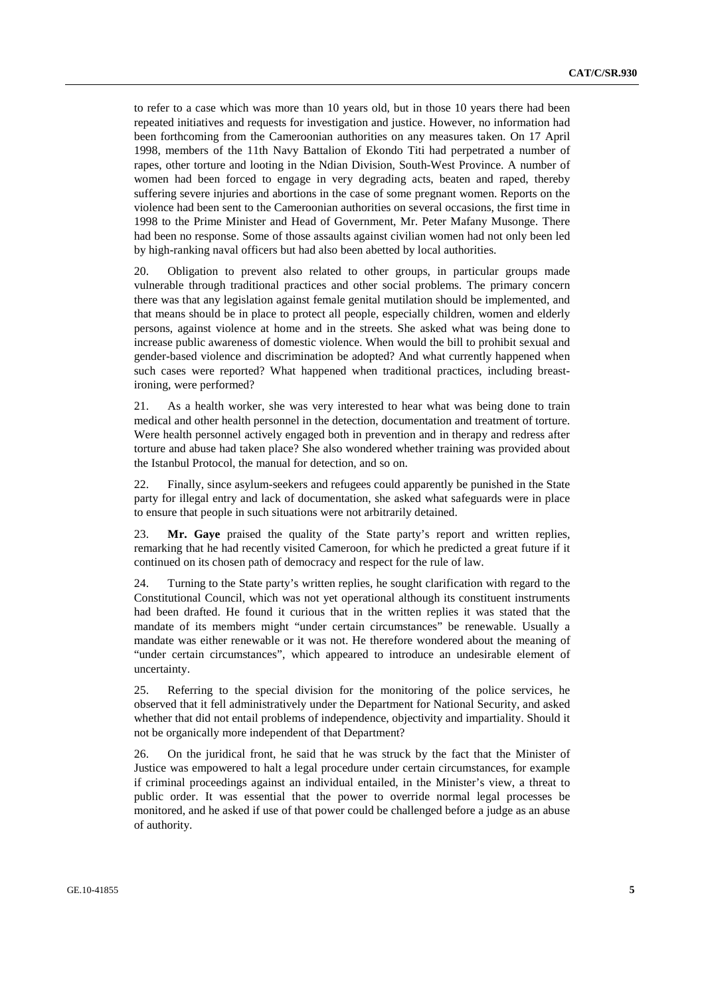to refer to a case which was more than 10 years old, but in those 10 years there had been repeated initiatives and requests for investigation and justice. However, no information had been forthcoming from the Cameroonian authorities on any measures taken. On 17 April 1998, members of the 11th Navy Battalion of Ekondo Titi had perpetrated a number of rapes, other torture and looting in the Ndian Division, South-West Province. A number of women had been forced to engage in very degrading acts, beaten and raped, thereby suffering severe injuries and abortions in the case of some pregnant women. Reports on the violence had been sent to the Cameroonian authorities on several occasions, the first time in 1998 to the Prime Minister and Head of Government, Mr. Peter Mafany Musonge. There had been no response. Some of those assaults against civilian women had not only been led by high-ranking naval officers but had also been abetted by local authorities.

20. Obligation to prevent also related to other groups, in particular groups made vulnerable through traditional practices and other social problems. The primary concern there was that any legislation against female genital mutilation should be implemented, and that means should be in place to protect all people, especially children, women and elderly persons, against violence at home and in the streets. She asked what was being done to increase public awareness of domestic violence. When would the bill to prohibit sexual and gender-based violence and discrimination be adopted? And what currently happened when such cases were reported? What happened when traditional practices, including breastironing, were performed?

21. As a health worker, she was very interested to hear what was being done to train medical and other health personnel in the detection, documentation and treatment of torture. Were health personnel actively engaged both in prevention and in therapy and redress after torture and abuse had taken place? She also wondered whether training was provided about the Istanbul Protocol, the manual for detection, and so on.

22. Finally, since asylum-seekers and refugees could apparently be punished in the State party for illegal entry and lack of documentation, she asked what safeguards were in place to ensure that people in such situations were not arbitrarily detained.

23. **Mr. Gaye** praised the quality of the State party's report and written replies, remarking that he had recently visited Cameroon, for which he predicted a great future if it continued on its chosen path of democracy and respect for the rule of law.

24. Turning to the State party's written replies, he sought clarification with regard to the Constitutional Council, which was not yet operational although its constituent instruments had been drafted. He found it curious that in the written replies it was stated that the mandate of its members might "under certain circumstances" be renewable. Usually a mandate was either renewable or it was not. He therefore wondered about the meaning of "under certain circumstances", which appeared to introduce an undesirable element of uncertainty.

25. Referring to the special division for the monitoring of the police services, he observed that it fell administratively under the Department for National Security, and asked whether that did not entail problems of independence, objectivity and impartiality. Should it not be organically more independent of that Department?

26. On the juridical front, he said that he was struck by the fact that the Minister of Justice was empowered to halt a legal procedure under certain circumstances, for example if criminal proceedings against an individual entailed, in the Minister's view, a threat to public order. It was essential that the power to override normal legal processes be monitored, and he asked if use of that power could be challenged before a judge as an abuse of authority.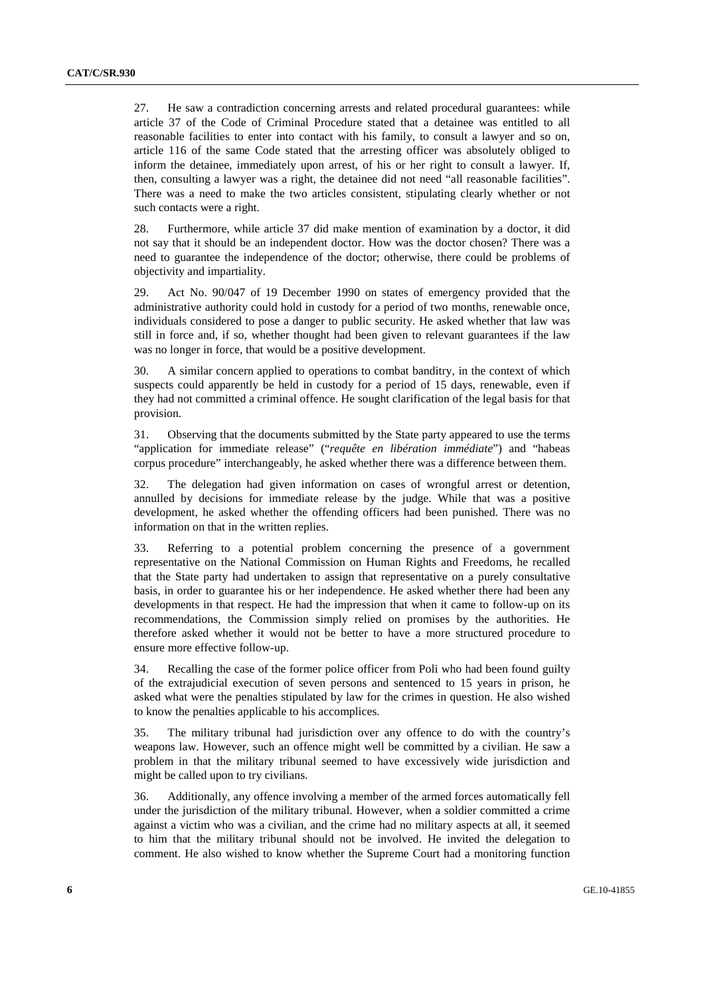27. He saw a contradiction concerning arrests and related procedural guarantees: while article 37 of the Code of Criminal Procedure stated that a detainee was entitled to all reasonable facilities to enter into contact with his family, to consult a lawyer and so on, article 116 of the same Code stated that the arresting officer was absolutely obliged to inform the detainee, immediately upon arrest, of his or her right to consult a lawyer. If, then, consulting a lawyer was a right, the detainee did not need "all reasonable facilities". There was a need to make the two articles consistent, stipulating clearly whether or not such contacts were a right.

28. Furthermore, while article 37 did make mention of examination by a doctor, it did not say that it should be an independent doctor. How was the doctor chosen? There was a need to guarantee the independence of the doctor; otherwise, there could be problems of objectivity and impartiality.

29. Act No. 90/047 of 19 December 1990 on states of emergency provided that the administrative authority could hold in custody for a period of two months, renewable once, individuals considered to pose a danger to public security. He asked whether that law was still in force and, if so, whether thought had been given to relevant guarantees if the law was no longer in force, that would be a positive development.

30. A similar concern applied to operations to combat banditry, in the context of which suspects could apparently be held in custody for a period of 15 days, renewable, even if they had not committed a criminal offence. He sought clarification of the legal basis for that provision.

31. Observing that the documents submitted by the State party appeared to use the terms "application for immediate release" ("*requête en libération immédiate*") and "habeas corpus procedure" interchangeably, he asked whether there was a difference between them.

32. The delegation had given information on cases of wrongful arrest or detention, annulled by decisions for immediate release by the judge. While that was a positive development, he asked whether the offending officers had been punished. There was no information on that in the written replies.

33. Referring to a potential problem concerning the presence of a government representative on the National Commission on Human Rights and Freedoms, he recalled that the State party had undertaken to assign that representative on a purely consultative basis, in order to guarantee his or her independence. He asked whether there had been any developments in that respect. He had the impression that when it came to follow-up on its recommendations, the Commission simply relied on promises by the authorities. He therefore asked whether it would not be better to have a more structured procedure to ensure more effective follow-up.

34. Recalling the case of the former police officer from Poli who had been found guilty of the extrajudicial execution of seven persons and sentenced to 15 years in prison, he asked what were the penalties stipulated by law for the crimes in question. He also wished to know the penalties applicable to his accomplices.

35. The military tribunal had jurisdiction over any offence to do with the country's weapons law. However, such an offence might well be committed by a civilian. He saw a problem in that the military tribunal seemed to have excessively wide jurisdiction and might be called upon to try civilians.

36. Additionally, any offence involving a member of the armed forces automatically fell under the jurisdiction of the military tribunal. However, when a soldier committed a crime against a victim who was a civilian, and the crime had no military aspects at all, it seemed to him that the military tribunal should not be involved. He invited the delegation to comment. He also wished to know whether the Supreme Court had a monitoring function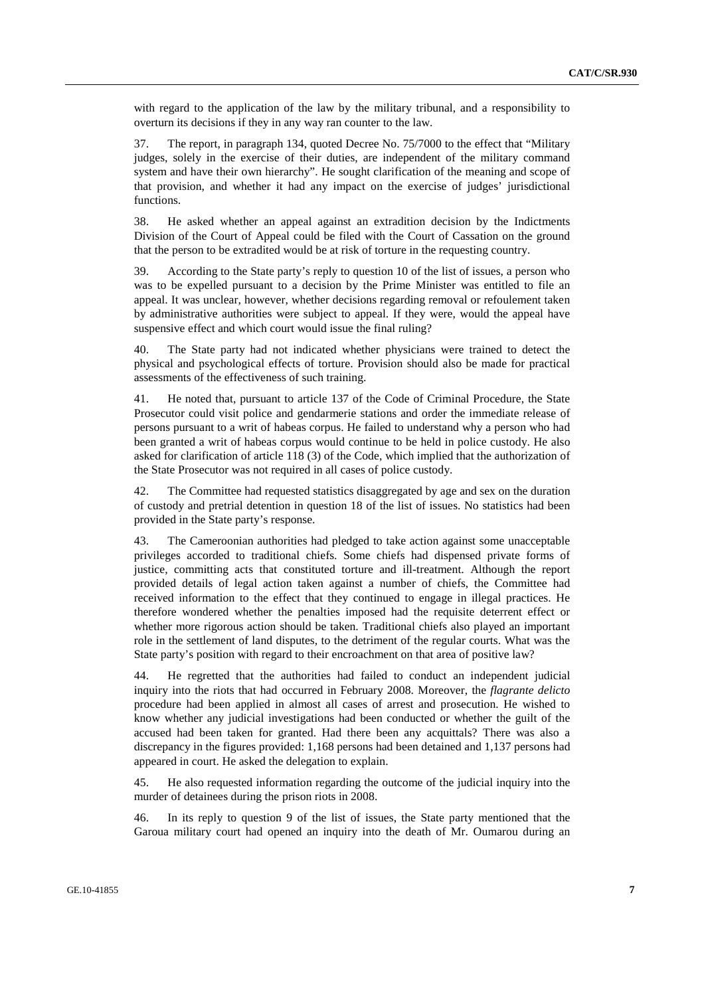with regard to the application of the law by the military tribunal, and a responsibility to overturn its decisions if they in any way ran counter to the law.

37. The report, in paragraph 134, quoted Decree No. 75/7000 to the effect that "Military judges, solely in the exercise of their duties, are independent of the military command system and have their own hierarchy". He sought clarification of the meaning and scope of that provision, and whether it had any impact on the exercise of judges' jurisdictional functions.

38. He asked whether an appeal against an extradition decision by the Indictments Division of the Court of Appeal could be filed with the Court of Cassation on the ground that the person to be extradited would be at risk of torture in the requesting country.

39. According to the State party's reply to question 10 of the list of issues, a person who was to be expelled pursuant to a decision by the Prime Minister was entitled to file an appeal. It was unclear, however, whether decisions regarding removal or refoulement taken by administrative authorities were subject to appeal. If they were, would the appeal have suspensive effect and which court would issue the final ruling?

40. The State party had not indicated whether physicians were trained to detect the physical and psychological effects of torture. Provision should also be made for practical assessments of the effectiveness of such training.

41. He noted that, pursuant to article 137 of the Code of Criminal Procedure, the State Prosecutor could visit police and gendarmerie stations and order the immediate release of persons pursuant to a writ of habeas corpus. He failed to understand why a person who had been granted a writ of habeas corpus would continue to be held in police custody. He also asked for clarification of article 118 (3) of the Code, which implied that the authorization of the State Prosecutor was not required in all cases of police custody.

42. The Committee had requested statistics disaggregated by age and sex on the duration of custody and pretrial detention in question 18 of the list of issues. No statistics had been provided in the State party's response.

43. The Cameroonian authorities had pledged to take action against some unacceptable privileges accorded to traditional chiefs. Some chiefs had dispensed private forms of justice, committing acts that constituted torture and ill-treatment. Although the report provided details of legal action taken against a number of chiefs, the Committee had received information to the effect that they continued to engage in illegal practices. He therefore wondered whether the penalties imposed had the requisite deterrent effect or whether more rigorous action should be taken. Traditional chiefs also played an important role in the settlement of land disputes, to the detriment of the regular courts. What was the State party's position with regard to their encroachment on that area of positive law?

44. He regretted that the authorities had failed to conduct an independent judicial inquiry into the riots that had occurred in February 2008. Moreover, the *flagrante delicto* procedure had been applied in almost all cases of arrest and prosecution. He wished to know whether any judicial investigations had been conducted or whether the guilt of the accused had been taken for granted. Had there been any acquittals? There was also a discrepancy in the figures provided: 1,168 persons had been detained and 1,137 persons had appeared in court. He asked the delegation to explain.

45. He also requested information regarding the outcome of the judicial inquiry into the murder of detainees during the prison riots in 2008.

46. In its reply to question 9 of the list of issues, the State party mentioned that the Garoua military court had opened an inquiry into the death of Mr. Oumarou during an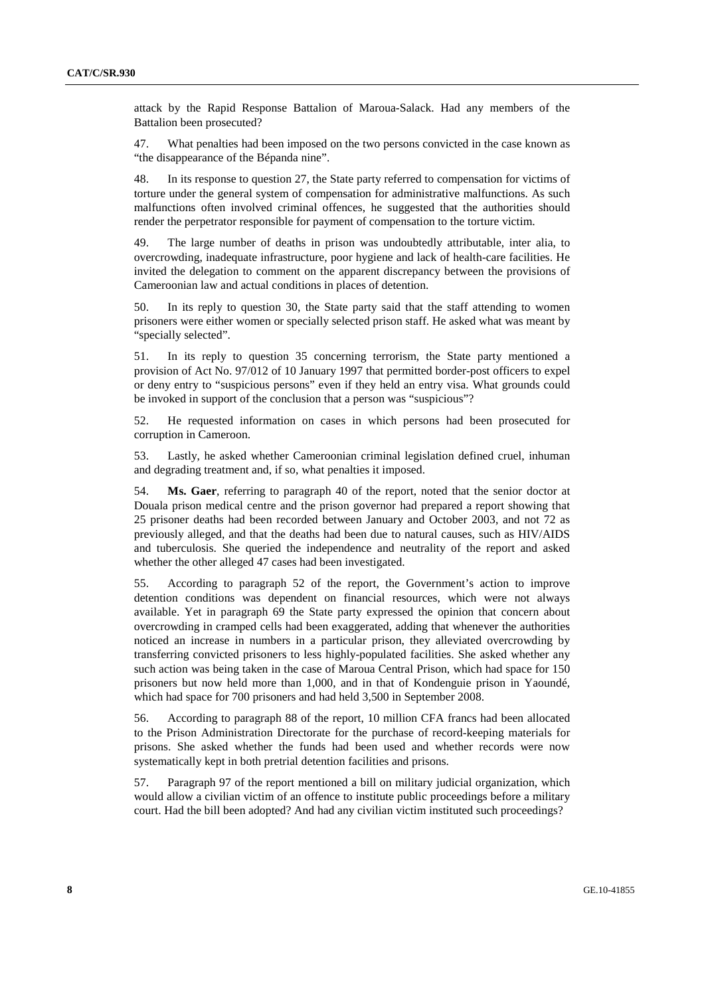attack by the Rapid Response Battalion of Maroua-Salack. Had any members of the Battalion been prosecuted?

47. What penalties had been imposed on the two persons convicted in the case known as "the disappearance of the Bépanda nine".

48. In its response to question 27, the State party referred to compensation for victims of torture under the general system of compensation for administrative malfunctions. As such malfunctions often involved criminal offences, he suggested that the authorities should render the perpetrator responsible for payment of compensation to the torture victim.

49. The large number of deaths in prison was undoubtedly attributable, inter alia, to overcrowding, inadequate infrastructure, poor hygiene and lack of health-care facilities. He invited the delegation to comment on the apparent discrepancy between the provisions of Cameroonian law and actual conditions in places of detention.

50. In its reply to question 30, the State party said that the staff attending to women prisoners were either women or specially selected prison staff. He asked what was meant by "specially selected".

51. In its reply to question 35 concerning terrorism, the State party mentioned a provision of Act No. 97/012 of 10 January 1997 that permitted border-post officers to expel or deny entry to "suspicious persons" even if they held an entry visa. What grounds could be invoked in support of the conclusion that a person was "suspicious"?

52. He requested information on cases in which persons had been prosecuted for corruption in Cameroon.

53. Lastly, he asked whether Cameroonian criminal legislation defined cruel, inhuman and degrading treatment and, if so, what penalties it imposed.

54. **Ms. Gaer**, referring to paragraph 40 of the report, noted that the senior doctor at Douala prison medical centre and the prison governor had prepared a report showing that 25 prisoner deaths had been recorded between January and October 2003, and not 72 as previously alleged, and that the deaths had been due to natural causes, such as HIV/AIDS and tuberculosis. She queried the independence and neutrality of the report and asked whether the other alleged 47 cases had been investigated.

55. According to paragraph 52 of the report, the Government's action to improve detention conditions was dependent on financial resources, which were not always available. Yet in paragraph 69 the State party expressed the opinion that concern about overcrowding in cramped cells had been exaggerated, adding that whenever the authorities noticed an increase in numbers in a particular prison, they alleviated overcrowding by transferring convicted prisoners to less highly-populated facilities. She asked whether any such action was being taken in the case of Maroua Central Prison, which had space for 150 prisoners but now held more than 1,000, and in that of Kondenguie prison in Yaoundé, which had space for 700 prisoners and had held 3,500 in September 2008.

56. According to paragraph 88 of the report, 10 million CFA francs had been allocated to the Prison Administration Directorate for the purchase of record-keeping materials for prisons. She asked whether the funds had been used and whether records were now systematically kept in both pretrial detention facilities and prisons.

57. Paragraph 97 of the report mentioned a bill on military judicial organization, which would allow a civilian victim of an offence to institute public proceedings before a military court. Had the bill been adopted? And had any civilian victim instituted such proceedings?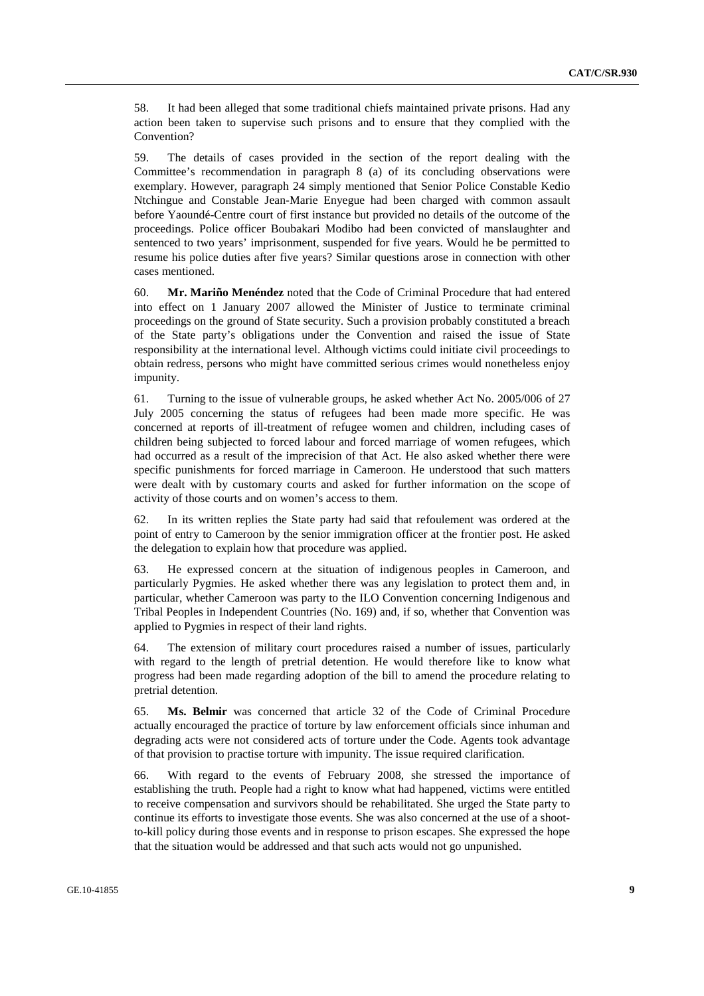58. It had been alleged that some traditional chiefs maintained private prisons. Had any action been taken to supervise such prisons and to ensure that they complied with the Convention?

59. The details of cases provided in the section of the report dealing with the Committee's recommendation in paragraph 8 (a) of its concluding observations were exemplary. However, paragraph 24 simply mentioned that Senior Police Constable Kedio Ntchingue and Constable Jean-Marie Enyegue had been charged with common assault before Yaoundé-Centre court of first instance but provided no details of the outcome of the proceedings. Police officer Boubakari Modibo had been convicted of manslaughter and sentenced to two years' imprisonment, suspended for five years. Would he be permitted to resume his police duties after five years? Similar questions arose in connection with other cases mentioned.

60. **Mr. Mariño Menéndez** noted that the Code of Criminal Procedure that had entered into effect on 1 January 2007 allowed the Minister of Justice to terminate criminal proceedings on the ground of State security. Such a provision probably constituted a breach of the State party's obligations under the Convention and raised the issue of State responsibility at the international level. Although victims could initiate civil proceedings to obtain redress, persons who might have committed serious crimes would nonetheless enjoy impunity.

61. Turning to the issue of vulnerable groups, he asked whether Act No. 2005/006 of 27 July 2005 concerning the status of refugees had been made more specific. He was concerned at reports of ill-treatment of refugee women and children, including cases of children being subjected to forced labour and forced marriage of women refugees, which had occurred as a result of the imprecision of that Act. He also asked whether there were specific punishments for forced marriage in Cameroon. He understood that such matters were dealt with by customary courts and asked for further information on the scope of activity of those courts and on women's access to them.

62. In its written replies the State party had said that refoulement was ordered at the point of entry to Cameroon by the senior immigration officer at the frontier post. He asked the delegation to explain how that procedure was applied.

63. He expressed concern at the situation of indigenous peoples in Cameroon, and particularly Pygmies. He asked whether there was any legislation to protect them and, in particular, whether Cameroon was party to the ILO Convention concerning Indigenous and Tribal Peoples in Independent Countries (No. 169) and, if so, whether that Convention was applied to Pygmies in respect of their land rights.

64. The extension of military court procedures raised a number of issues, particularly with regard to the length of pretrial detention. He would therefore like to know what progress had been made regarding adoption of the bill to amend the procedure relating to pretrial detention.

65. **Ms. Belmir** was concerned that article 32 of the Code of Criminal Procedure actually encouraged the practice of torture by law enforcement officials since inhuman and degrading acts were not considered acts of torture under the Code. Agents took advantage of that provision to practise torture with impunity. The issue required clarification.

66. With regard to the events of February 2008, she stressed the importance of establishing the truth. People had a right to know what had happened, victims were entitled to receive compensation and survivors should be rehabilitated. She urged the State party to continue its efforts to investigate those events. She was also concerned at the use of a shootto-kill policy during those events and in response to prison escapes. She expressed the hope that the situation would be addressed and that such acts would not go unpunished.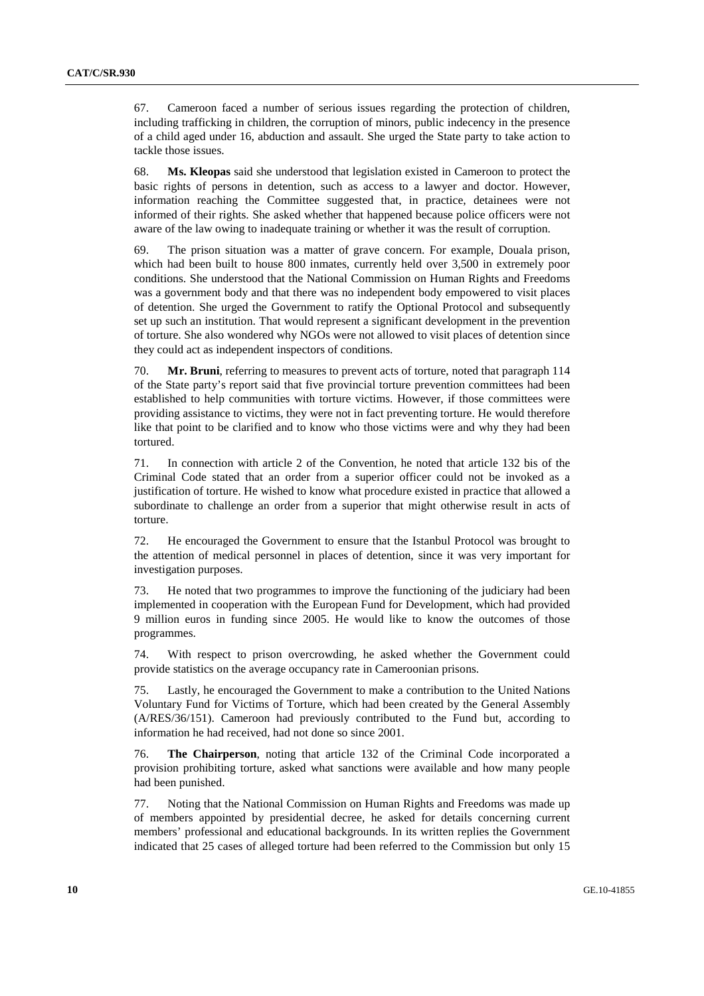67. Cameroon faced a number of serious issues regarding the protection of children, including trafficking in children, the corruption of minors, public indecency in the presence of a child aged under 16, abduction and assault. She urged the State party to take action to tackle those issues.

68. **Ms. Kleopas** said she understood that legislation existed in Cameroon to protect the basic rights of persons in detention, such as access to a lawyer and doctor. However, information reaching the Committee suggested that, in practice, detainees were not informed of their rights. She asked whether that happened because police officers were not aware of the law owing to inadequate training or whether it was the result of corruption.

69. The prison situation was a matter of grave concern. For example, Douala prison, which had been built to house 800 inmates, currently held over 3,500 in extremely poor conditions. She understood that the National Commission on Human Rights and Freedoms was a government body and that there was no independent body empowered to visit places of detention. She urged the Government to ratify the Optional Protocol and subsequently set up such an institution. That would represent a significant development in the prevention of torture. She also wondered why NGOs were not allowed to visit places of detention since they could act as independent inspectors of conditions.

70. **Mr. Bruni**, referring to measures to prevent acts of torture, noted that paragraph 114 of the State party's report said that five provincial torture prevention committees had been established to help communities with torture victims. However, if those committees were providing assistance to victims, they were not in fact preventing torture. He would therefore like that point to be clarified and to know who those victims were and why they had been tortured.

71. In connection with article 2 of the Convention, he noted that article 132 bis of the Criminal Code stated that an order from a superior officer could not be invoked as a justification of torture. He wished to know what procedure existed in practice that allowed a subordinate to challenge an order from a superior that might otherwise result in acts of torture.

72. He encouraged the Government to ensure that the Istanbul Protocol was brought to the attention of medical personnel in places of detention, since it was very important for investigation purposes.

73. He noted that two programmes to improve the functioning of the judiciary had been implemented in cooperation with the European Fund for Development, which had provided 9 million euros in funding since 2005. He would like to know the outcomes of those programmes.

74. With respect to prison overcrowding, he asked whether the Government could provide statistics on the average occupancy rate in Cameroonian prisons.

75. Lastly, he encouraged the Government to make a contribution to the United Nations Voluntary Fund for Victims of Torture, which had been created by the General Assembly (A/RES/36/151). Cameroon had previously contributed to the Fund but, according to information he had received, had not done so since 2001.

76. **The Chairperson**, noting that article 132 of the Criminal Code incorporated a provision prohibiting torture, asked what sanctions were available and how many people had been punished.

77. Noting that the National Commission on Human Rights and Freedoms was made up of members appointed by presidential decree, he asked for details concerning current members' professional and educational backgrounds. In its written replies the Government indicated that 25 cases of alleged torture had been referred to the Commission but only 15